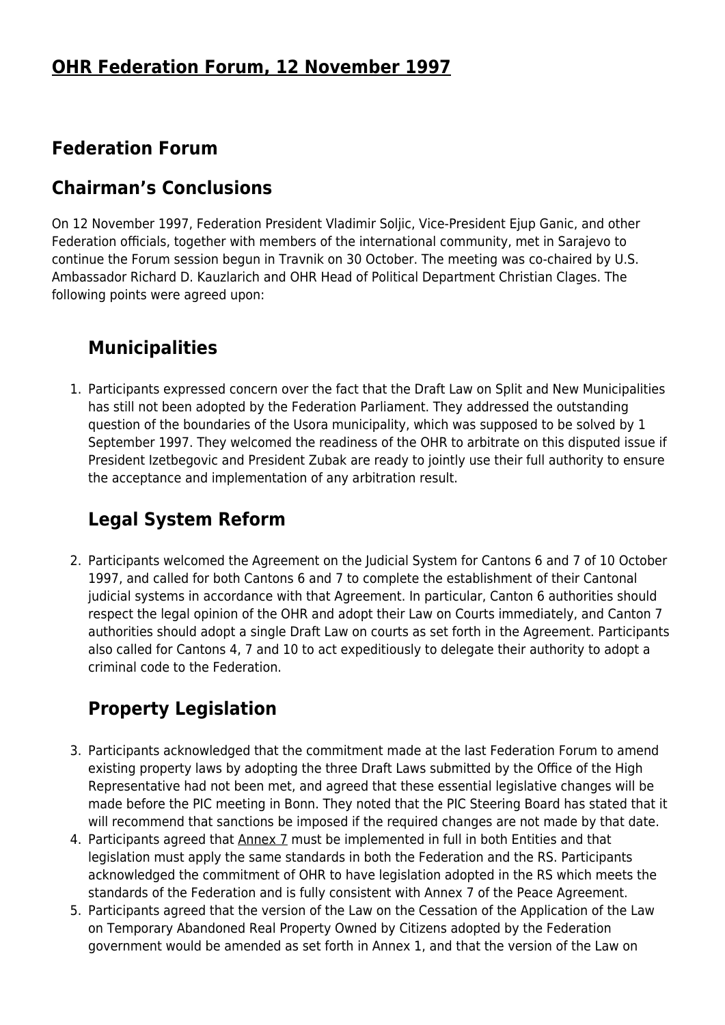#### **Federation Forum**

#### **Chairman's Conclusions**

On 12 November 1997, Federation President Vladimir Soljic, Vice-President Ejup Ganic, and other Federation officials, together with members of the international community, met in Sarajevo to continue the Forum session begun in Travnik on 30 October. The meeting was co-chaired by U.S. Ambassador Richard D. Kauzlarich and OHR Head of Political Department Christian Clages. The following points were agreed upon:

## **Municipalities**

1. Participants expressed concern over the fact that the Draft Law on Split and New Municipalities has still not been adopted by the Federation Parliament. They addressed the outstanding question of the boundaries of the Usora municipality, which was supposed to be solved by 1 September 1997. They welcomed the readiness of the OHR to arbitrate on this disputed issue if President Izetbegovic and President Zubak are ready to jointly use their full authority to ensure the acceptance and implementation of any arbitration result.

## **Legal System Reform**

2. Participants welcomed the Agreement on the Judicial System for Cantons 6 and 7 of 10 October 1997, and called for both Cantons 6 and 7 to complete the establishment of their Cantonal judicial systems in accordance with that Agreement. In particular, Canton 6 authorities should respect the legal opinion of the OHR and adopt their Law on Courts immediately, and Canton 7 authorities should adopt a single Draft Law on courts as set forth in the Agreement. Participants also called for Cantons 4, 7 and 10 to act expeditiously to delegate their authority to adopt a criminal code to the Federation.

# **Property Legislation**

- 3. Participants acknowledged that the commitment made at the last Federation Forum to amend existing property laws by adopting the three Draft Laws submitted by the Office of the High Representative had not been met, and agreed that these essential legislative changes will be made before the PIC meeting in Bonn. They noted that the PIC Steering Board has stated that it will recommend that sanctions be imposed if the required changes are not made by that date.
- 4. Participants agreed that [Annex 7](http://www.ohr.int/dpa/default.asp?content_id=375) must be implemented in full in both Entities and that legislation must apply the same standards in both the Federation and the RS. Participants acknowledged the commitment of OHR to have legislation adopted in the RS which meets the standards of the Federation and is fully consistent with Annex 7 of the Peace Agreement.
- 5. Participants agreed that the version of the Law on the Cessation of the Application of the Law on Temporary Abandoned Real Property Owned by Citizens adopted by the Federation government would be amended as set forth in Annex 1, and that the version of the Law on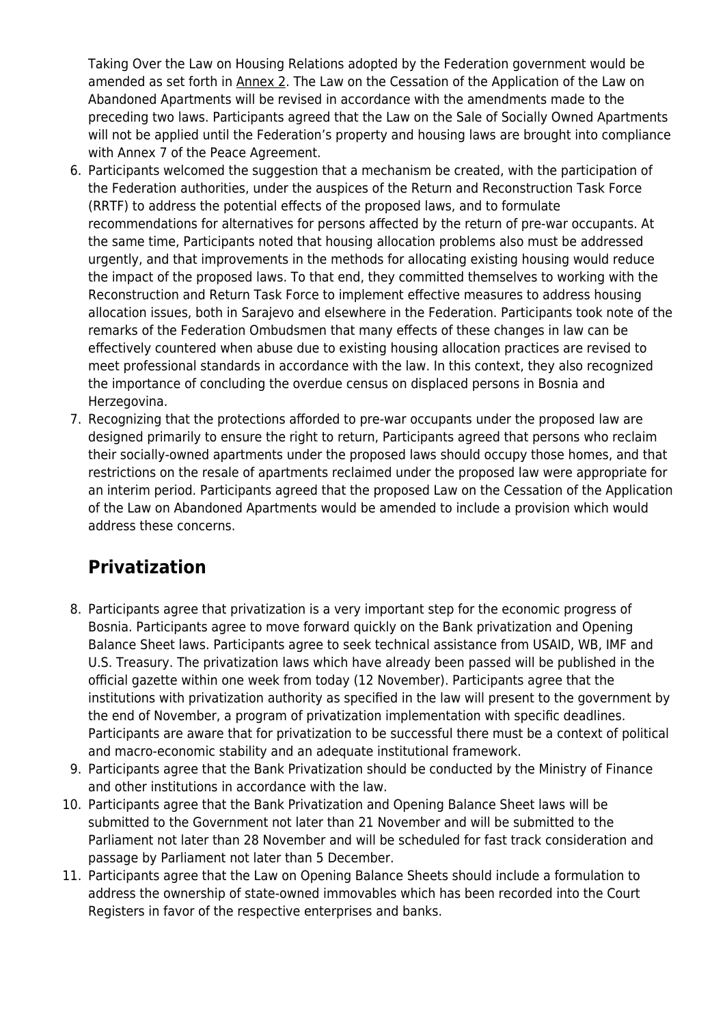Taking Over the Law on Housing Relations adopted by the Federation government would be amended as set forth in [Annex 2.](http://www.ohr.int/other-doc/fed-mtng/default.asp?content_id=3630#2) The Law on the Cessation of the Application of the Law on Abandoned Apartments will be revised in accordance with the amendments made to the preceding two laws. Participants agreed that the Law on the Sale of Socially Owned Apartments will not be applied until the Federation's property and housing laws are brought into compliance with Annex 7 of the Peace Agreement.

- 6. Participants welcomed the suggestion that a mechanism be created, with the participation of the Federation authorities, under the auspices of the Return and Reconstruction Task Force (RRTF) to address the potential effects of the proposed laws, and to formulate recommendations for alternatives for persons affected by the return of pre-war occupants. At the same time, Participants noted that housing allocation problems also must be addressed urgently, and that improvements in the methods for allocating existing housing would reduce the impact of the proposed laws. To that end, they committed themselves to working with the Reconstruction and Return Task Force to implement effective measures to address housing allocation issues, both in Sarajevo and elsewhere in the Federation. Participants took note of the remarks of the Federation Ombudsmen that many effects of these changes in law can be effectively countered when abuse due to existing housing allocation practices are revised to meet professional standards in accordance with the law. In this context, they also recognized the importance of concluding the overdue census on displaced persons in Bosnia and Herzegovina.
- 7. Recognizing that the protections afforded to pre-war occupants under the proposed law are designed primarily to ensure the right to return, Participants agreed that persons who reclaim their socially-owned apartments under the proposed laws should occupy those homes, and that restrictions on the resale of apartments reclaimed under the proposed law were appropriate for an interim period. Participants agreed that the proposed Law on the Cessation of the Application of the Law on Abandoned Apartments would be amended to include a provision which would address these concerns.

## **Privatization**

- 8. Participants agree that privatization is a very important step for the economic progress of Bosnia. Participants agree to move forward quickly on the Bank privatization and Opening Balance Sheet laws. Participants agree to seek technical assistance from USAID, WB, IMF and U.S. Treasury. The privatization laws which have already been passed will be published in the official gazette within one week from today (12 November). Participants agree that the institutions with privatization authority as specified in the law will present to the government by the end of November, a program of privatization implementation with specific deadlines. Participants are aware that for privatization to be successful there must be a context of political and macro-economic stability and an adequate institutional framework.
- 9. Participants agree that the Bank Privatization should be conducted by the Ministry of Finance and other institutions in accordance with the law.
- 10. Participants agree that the Bank Privatization and Opening Balance Sheet laws will be submitted to the Government not later than 21 November and will be submitted to the Parliament not later than 28 November and will be scheduled for fast track consideration and passage by Parliament not later than 5 December.
- 11. Participants agree that the Law on Opening Balance Sheets should include a formulation to address the ownership of state-owned immovables which has been recorded into the Court Registers in favor of the respective enterprises and banks.